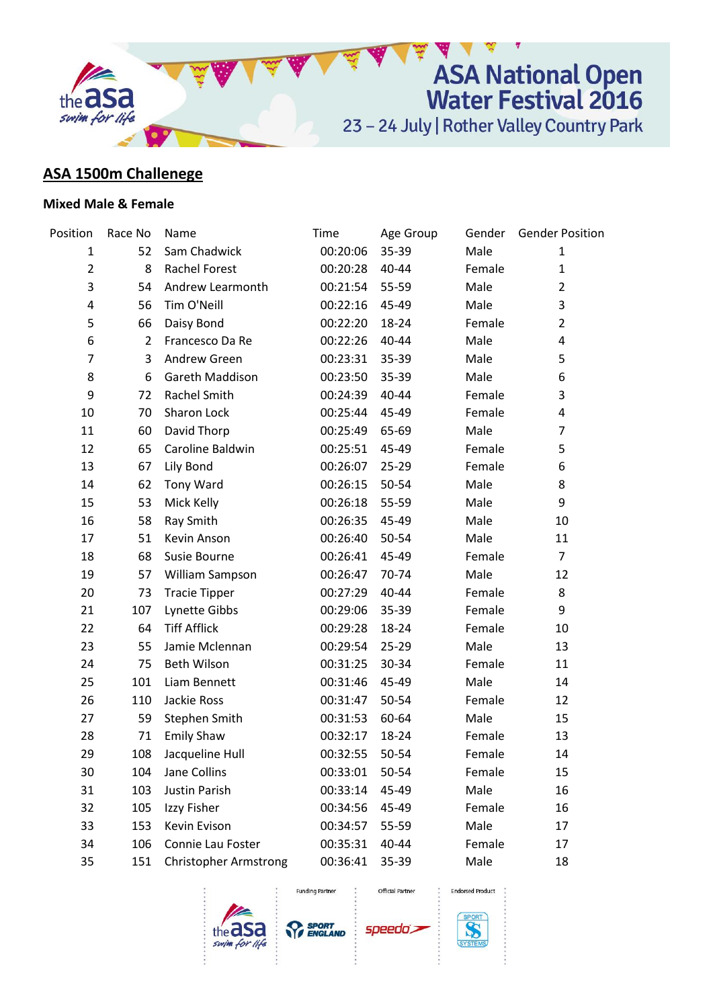

## **ASA 1500m Challenege**

## **Mixed Male & Female**

| Position       | Race No        | Name                         | Time     | Age Group | Gender | <b>Gender Position</b> |
|----------------|----------------|------------------------------|----------|-----------|--------|------------------------|
| 1              | 52             | Sam Chadwick                 | 00:20:06 | 35-39     | Male   | 1                      |
| $\overline{2}$ | 8              | <b>Rachel Forest</b>         | 00:20:28 | 40-44     | Female | $\mathbf{1}$           |
| 3              | 54             | Andrew Learmonth             | 00:21:54 | 55-59     | Male   | $\overline{2}$         |
| 4              | 56             | Tim O'Neill                  | 00:22:16 | 45-49     | Male   | 3                      |
| 5              | 66             | Daisy Bond                   | 00:22:20 | 18-24     | Female | $\overline{2}$         |
| 6              | $\overline{2}$ | Francesco Da Re              | 00:22:26 | 40-44     | Male   | 4                      |
| 7              | 3              | Andrew Green                 | 00:23:31 | 35-39     | Male   | 5                      |
| 8              | 6              | Gareth Maddison              | 00:23:50 | 35-39     | Male   | 6                      |
| 9              | 72             | <b>Rachel Smith</b>          | 00:24:39 | 40-44     | Female | 3                      |
| 10             | 70             | Sharon Lock                  | 00:25:44 | 45-49     | Female | 4                      |
| 11             | 60             | David Thorp                  | 00:25:49 | 65-69     | Male   | 7                      |
| 12             | 65             | Caroline Baldwin             | 00:25:51 | 45-49     | Female | 5                      |
| 13             | 67             | Lily Bond                    | 00:26:07 | 25-29     | Female | 6                      |
| 14             | 62             | Tony Ward                    | 00:26:15 | 50-54     | Male   | 8                      |
| 15             | 53             | Mick Kelly                   | 00:26:18 | 55-59     | Male   | 9                      |
| 16             | 58             | Ray Smith                    | 00:26:35 | 45-49     | Male   | 10                     |
| 17             | 51             | Kevin Anson                  | 00:26:40 | 50-54     | Male   | 11                     |
| 18             | 68             | Susie Bourne                 | 00:26:41 | 45-49     | Female | $\overline{7}$         |
| 19             | 57             | William Sampson              | 00:26:47 | 70-74     | Male   | 12                     |
| 20             | 73             | <b>Tracie Tipper</b>         | 00:27:29 | 40-44     | Female | 8                      |
| 21             | 107            | Lynette Gibbs                | 00:29:06 | 35-39     | Female | 9                      |
| 22             | 64             | <b>Tiff Afflick</b>          | 00:29:28 | 18-24     | Female | 10                     |
| 23             | 55             | Jamie Mclennan               | 00:29:54 | 25-29     | Male   | 13                     |
| 24             | 75             | Beth Wilson                  | 00:31:25 | 30-34     | Female | 11                     |
| 25             | 101            | Liam Bennett                 | 00:31:46 | 45-49     | Male   | 14                     |
| 26             | 110            | Jackie Ross                  | 00:31:47 | 50-54     | Female | 12                     |
| 27             | 59             | Stephen Smith                | 00:31:53 | 60-64     | Male   | 15                     |
| 28             | 71             | <b>Emily Shaw</b>            | 00:32:17 | 18-24     | Female | 13                     |
| 29             | 108            | Jacqueline Hull              | 00:32:55 | 50-54     | Female | 14                     |
| 30             | 104            | Jane Collins                 | 00:33:01 | 50-54     | Female | 15                     |
| 31             | 103            | Justin Parish                | 00:33:14 | 45-49     | Male   | 16                     |
| 32             | 105            | Izzy Fisher                  | 00:34:56 | 45-49     | Female | 16                     |
| 33             | 153            | Kevin Evison                 | 00:34:57 | 55-59     | Male   | 17                     |
| 34             | 106            | Connie Lau Foster            | 00:35:31 | 40-44     | Female | 17                     |
| 35             | 151            | <b>Christopher Armstrong</b> | 00:36:41 | 35-39     | Male   | 18                     |





**Funding Partner** 

Official Partner

speedo's



**Endorsed Product**